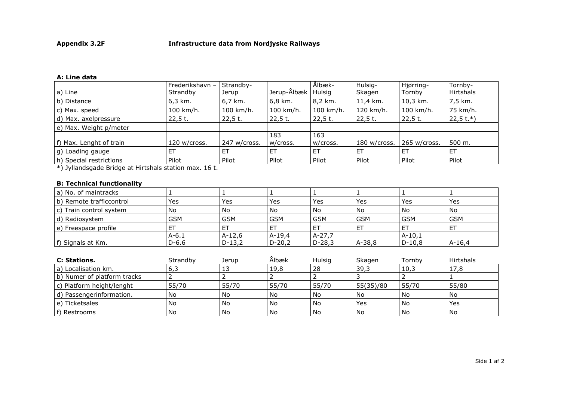## **A: Line data**

|                         | Frederikshavn - | Strandby-    |                      | Ålbæk-       | Hulsig-      | Hjørring-    | Tornby-     |
|-------------------------|-----------------|--------------|----------------------|--------------|--------------|--------------|-------------|
| a) Line                 | Strandby        | Jerup        | Jerup-Ålbæk   Hulsig |              | Skagen       | Tornby       | Hirtshals   |
| b) Distance             | 6,3 km.         | 6,7 km.      | 6,8 km.              | 8,2 km.      | 11,4 km.     | 10,3 km.     | 7,5 km.     |
| c) Max. speed           | 100 km/h.       | 100 km/h.    | 100 km/h.            | $100$ km/h.  | 120 km/h.    | 100 km/h.    | 75 km/h.    |
| d) Max. axelpressure    | $22,5$ t.       | 22,5 t.      | $22,5$ t.            | $22,5$ t.    | $22,5$ t.    | 22,5 t.      | $22,5$ t.*) |
| e) Max. Weight p/meter  |                 |              |                      |              |              |              |             |
|                         |                 |              | 183                  | 163          |              |              |             |
| f) Max. Lenght of train | 120 w/cross.    | 247 w/cross. | w/cross.             | w/cross.     | 180 w/cross. | 265 w/cross. | 500 m.      |
| g) Loading gauge        | .ET             | ET           | -ET                  | <b>ET</b>    | ET           | ET.          | ET          |
| h) Special restrictions | Pilot           | Pilot        | Pilot                | <b>Pilot</b> | Pilot        | Pilot        | Pilot       |

\*) Jyllandsgade Bridge at Hirtshals station max. 16 t.

## **B: Technical functionality**

| a) No. of maintracks     |            |            |            |            |            |            |            |
|--------------------------|------------|------------|------------|------------|------------|------------|------------|
| b) Remote trafficcontrol | Yes        | Yes        | Yes        | Yes        | Yes        | Yes        | Yes        |
| c) Train control system  | No         | No         | No         | No         | No         | <b>No</b>  | No.        |
| d) Radiosystem           | <b>GSM</b> | <b>GSM</b> | <b>GSM</b> | <b>GSM</b> | <b>GSM</b> | <b>GSM</b> | <b>GSM</b> |
| l e) Freespace profile   |            | ET         | -ET        | ET         | ET         | <u>ь</u>   |            |
|                          | $A-6.1$    | $A-12.6$   | $A-19.4$   | A-27,7     |            | $A-10,1$   |            |
| f) Signals at Km.        | $D-6.6$    | $D-13,2$   | $D-20,2$   | $D-28,3$   | $A-38,8$   | $D-10,8$   | $A-16,4$   |

| C: Stations.                | Strandby | Jerup | Ălbæk | Hulsig | Skagen    | Tornby | <b>Hirtshals</b> |
|-----------------------------|----------|-------|-------|--------|-----------|--------|------------------|
| a) Localisation km.         | 6,3      | IJ    | 19,8  | 28     | 39,3      | 10,3   | 17,8             |
| b) Numer of platform tracks |          |       |       |        |           |        |                  |
| c) Platform height/lenght   | 55/70    | 55/70 | 55/70 | 55/70  | 55(35)/80 | 55/70  | 55/80            |
| d) Passengerinformation.    | No       | l No  | l No  | No     | No        | No     | l No             |
| e) Ticketsales              | No       | l No  | l No  | No     | Yes       | No     | Yes              |
| f) Restrooms                | No       | l No  | l No  | No     | No        | No     | No.              |